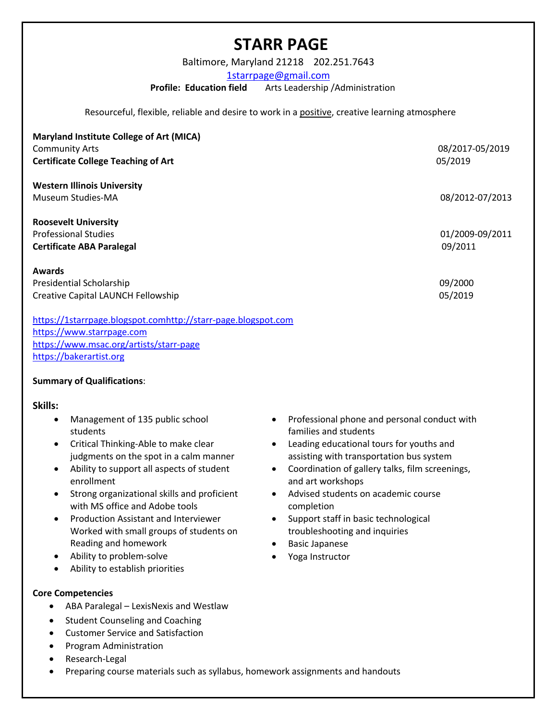# **STARR PAGE**

Baltimore, Maryland 21218 202.251.7643

1starrpage@gmail.com

**Profile: Education field** Arts Leadership /Administration

Resourceful, flexible, reliable and desire to work in a positive, creative learning atmosphere

| Maryland Institute College of Art (MICA)<br><b>Community Arts</b><br><b>Certificate College Teaching of Art</b> | 08/2017-05/2019<br>05/2019 |
|-----------------------------------------------------------------------------------------------------------------|----------------------------|
| <b>Western Illinois University</b><br>Museum Studies-MA                                                         | 08/2012-07/2013            |
| <b>Roosevelt University</b><br><b>Professional Studies</b><br><b>Certificate ABA Paralegal</b>                  | 01/2009-09/2011<br>09/2011 |
| <b>Awards</b><br>Presidential Scholarship<br>Creative Capital LAUNCH Fellowship                                 | 09/2000<br>05/2019         |

https://1starrpage.blogspot.comhttp://starr-page.blogspot.com https://www.starrpage.com https://www.msac.org/artists/starr-page https://bakerartist.org

#### **Summary of Qualifications**:

# **Skills:**

- Management of 135 public school students
- Critical Thinking-Able to make clear judgments on the spot in a calm manner
- Ability to support all aspects of student enrollment
- Strong organizational skills and proficient with MS office and Adobe tools
- Production Assistant and Interviewer Worked with small groups of students on Reading and homework
- Ability to problem-solve
- Ability to establish priorities

# **Core Competencies**

- ABA Paralegal LexisNexis and Westlaw
- Student Counseling and Coaching
- Customer Service and Satisfaction
- Program Administration
- Research-Legal
- Preparing course materials such as syllabus, homework assignments and handouts
- Professional phone and personal conduct with families and students
- Leading educational tours for youths and assisting with transportation bus system
- Coordination of gallery talks, film screenings, and art workshops
- Advised students on academic course completion
- Support staff in basic technological troubleshooting and inquiries
- Basic Japanese
- Yoga Instructor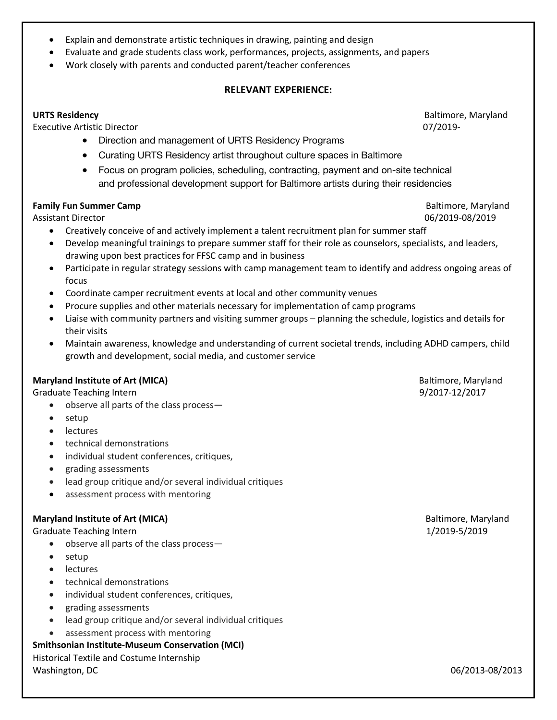- Explain and demonstrate artistic techniques in drawing, painting and design
- Evaluate and grade students class work, performances, projects, assignments, and papers
- Work closely with parents and conducted parent/teacher conferences

# **RELEVANT EXPERIENCE:**

#### **URTS Residency Baltimore, Maryland**

Executive Artistic Director 07/2019-

- Direction and management of URTS Residency Programs
- Curating URTS Residency artist throughout culture spaces in Baltimore
- Focus on program policies, scheduling, contracting, payment and on-site technical and professional development support for Baltimore artists during their residencies

#### **Family Fun Summer Camp Baltimore, Maryland**

- Creatively conceive of and actively implement a talent recruitment plan for summer staff
- Develop meaningful trainings to prepare summer staff for their role as counselors, specialists, and leaders, drawing upon best practices for FFSC camp and in business
- Participate in regular strategy sessions with camp management team to identify and address ongoing areas of focus
- Coordinate camper recruitment events at local and other community venues
- Procure supplies and other materials necessary for implementation of camp programs
- Liaise with community partners and visiting summer groups planning the schedule, logistics and details for their visits
- Maintain awareness, knowledge and understanding of current societal trends, including ADHD campers, child growth and development, social media, and customer service

# **Maryland Institute of Art (MICA) Baltimore, Maryland Baltimore, Maryland Baltimore**, Maryland

Graduate Teaching Intern **6.1 Teaching Internal Control** Control of the Security of the Security of the Security of the Security of the Security of the Security of the Security of the Security of the Security of the Securi

- observe all parts of the class process—
- setup
- lectures
- technical demonstrations
- individual student conferences, critiques,
- grading assessments
- lead group critique and/or several individual critiques
- assessment process with mentoring

# **Maryland Institute of Art (MICA) Baltimore, Maryland Institute of Art (MICA) Baltimore, Maryland**

Graduate Teaching Intern and the control of the control of the control of the control of the control of the control of the control of the control of the control of the control of the control of the control of the control o

- observe all parts of the class process—
- setup
- lectures
- technical demonstrations
- individual student conferences, critiques,
- grading assessments
- lead group critique and/or several individual critiques
- assessment process with mentoring

# **Smithsonian Institute-Museum Conservation (MCI)**

Historical Textile and Costume Internship Washington, DC 06/2013-08/2013

Assistant Director 06/2019-08/2019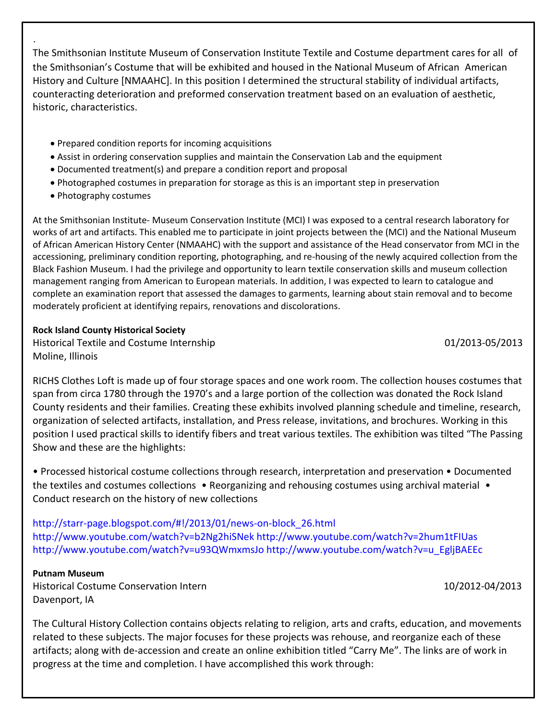The Smithsonian Institute Museum of Conservation Institute Textile and Costume department cares for all of the Smithsonian's Costume that will be exhibited and housed in the National Museum of African American History and Culture [NMAAHC]. In this position I determined the structural stability of individual artifacts, counteracting deterioration and preformed conservation treatment based on an evaluation of aesthetic, historic, characteristics.

- Prepared condition reports for incoming acquisitions
- Assist in ordering conservation supplies and maintain the Conservation Lab and the equipment
- Documented treatment(s) and prepare a condition report and proposal
- Photographed costumes in preparation for storage as this is an important step in preservation
- Photography costumes

.

At the Smithsonian Institute- Museum Conservation Institute (MCI) I was exposed to a central research laboratory for works of art and artifacts. This enabled me to participate in joint projects between the (MCI) and the National Museum of African American History Center (NMAAHC) with the support and assistance of the Head conservator from MCI in the accessioning, preliminary condition reporting, photographing, and re-housing of the newly acquired collection from the Black Fashion Museum. I had the privilege and opportunity to learn textile conservation skills and museum collection management ranging from American to European materials. In addition, I was expected to learn to catalogue and complete an examination report that assessed the damages to garments, learning about stain removal and to become moderately proficient at identifying repairs, renovations and discolorations.

# **Rock Island County Historical Society**

Historical Textile and Costume Internship 01/2013-05/2013 Moline, Illinois

RICHS Clothes Loft is made up of four storage spaces and one work room. The collection houses costumes that span from circa 1780 through the 1970's and a large portion of the collection was donated the Rock Island County residents and their families. Creating these exhibits involved planning schedule and timeline, research, organization of selected artifacts, installation, and Press release, invitations, and brochures. Working in this position I used practical skills to identify fibers and treat various textiles. The exhibition was tilted "The Passing Show and these are the highlights:

• Processed historical costume collections through research, interpretation and preservation • Documented the textiles and costumes collections • Reorganizing and rehousing costumes using archival material • Conduct research on the history of new collections

http://starr-page.blogspot.com/#!/2013/01/news-on-block\_26.html http://www.youtube.com/watch?v=b2Ng2hiSNek http://www.youtube.com/watch?v=2hum1tFIUas http://www.youtube.com/watch?v=u93QWmxmsJo http://www.youtube.com/watch?v=u\_EgljBAEEc

# **Putnam Museum**

Historical Costume Conservation Intern 10/2012-04/2013 Davenport, IA

The Cultural History Collection contains objects relating to religion, arts and crafts, education, and movements related to these subjects. The major focuses for these projects was rehouse, and reorganize each of these artifacts; along with de-accession and create an online exhibition titled "Carry Me". The links are of work in progress at the time and completion. I have accomplished this work through: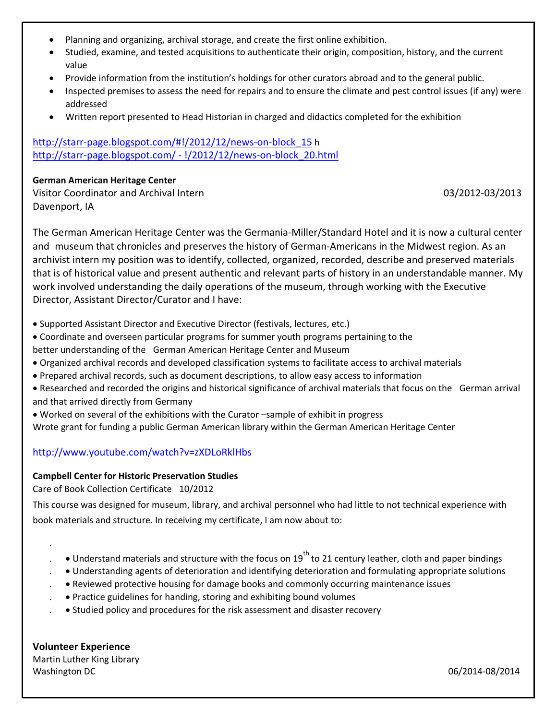- Planning and organizing, archival storage, and create the first online exhibition.
- Studied, examine, and tested acquisitions to authenticate their origin, composition, history, and the current value
- Provide information from the institution's holdings for other curators abroad and to the general public.
- Inspected premises to assess the need for repairs and to ensure the climate and pest control issues (if any) were addressed
- Written report presented to Head Historian in charged and didactics completed for the exhibition

http://starr-page.blogspot.com/#!/2012/12/news-on-block\_15 h http://starr-page.blogspot.com/ - !/2012/12/news-on-block\_20.html

#### **German American Heritage Center**

Visitor Coordinator and Archival Intern 03/2012-03/2013 Davenport, IA

The German American Heritage Center was the Germania-Miller/Standard Hotel and it is now a cultural center and museum that chronicles and preserves the history of German-Americans in the Midwest region. As an archivist intern my position was to identify, collected, organized, recorded, describe and preserved materials that is of historical value and present authentic and relevant parts of history in an understandable manner. My work involved understanding the daily operations of the museum, through working with the Executive Director, Assistant Director/Curator and I have:

- Supported Assistant Director and Executive Director (festivals, lectures, etc.)
- Coordinate and overseen particular programs for summer youth programs pertaining to the better understanding of the German American Heritage Center and Museum
- Organized archival records and developed classification systems to facilitate access to archival materials
- Prepared archival records, such as document descriptions, to allow easy access to information
- Researched and recorded the origins and historical significance of archival materials that focus on the German arrival and that arrived directly from Germany
- Worked on several of the exhibitions with the Curator –sample of exhibit in progress
- Wrote grant for funding a public German American library within the German American Heritage Center

# http://www.youtube.com/watch?v=zXDLoRklHbs

#### **Campbell Center for Historic Preservation Studies**

Care of Book Collection Certificate 10/2012

This course was designed for museum, library, and archival personnel who had little to not technical experience with book materials and structure. In receiving my certificate, I am now about to:

- $\bullet$  Understand materials and structure with the focus on 19<sup>th</sup> to 21 century leather, cloth and paper bindings
- . Understanding agents of deterioration and identifying deterioration and formulating appropriate solutions
- . Reviewed protective housing for damage books and commonly occurring maintenance issues
- . Practice guidelines for handing, storing and exhibiting bound volumes
- . Studied policy and procedures for the risk assessment and disaster recovery

**Volunteer Experience** Martin Luther King Library Washington DC 06/2014-08/2014

.